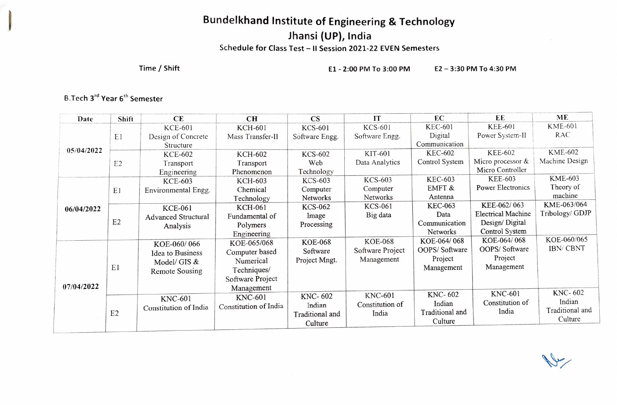# Bundelkhand Institute of Engineering & Technology<br>Jhansi (UP), India

Schedule for Class Test - II Session 2021-22 EVEN Semesters

Time/Shift E1-2:00 PM To 3:00 PM E2-3:30 PM To 4:30 PM

عبل

#### B.Tech 3<sup>rd</sup> Year 6<sup>th</sup> Semester

| Date       | Shift          | <b>CE</b>                  | CH                    | <b>CS</b>       | IT               | EC              | EE                 | ME              |
|------------|----------------|----------------------------|-----------------------|-----------------|------------------|-----------------|--------------------|-----------------|
| 05/04/2022 |                | <b>KCE-601</b>             | <b>KCH-601</b>        | <b>KCS-601</b>  | KCS-601          | <b>KEC-601</b>  | <b>KEE-601</b>     | <b>KME-601</b>  |
|            | E1             | Design of Concrete         | Mass Transfer-II      | Software Engg.  | Software Engg.   | Digital         | Power System-II    | RAC             |
|            |                | Structure                  |                       |                 |                  | Communication   |                    |                 |
|            |                | KCE-602                    | <b>KCH-602</b>        | KCS-602         | KIT-601          | <b>KEC-602</b>  | <b>KEE-602</b>     | <b>KME-602</b>  |
|            | E <sub>2</sub> | Transport                  | Transport             | Web             | Data Analytics   | Control System  | Micro processor &  | Machine Design  |
|            |                | Engineering                | Phenomenon            | Technology      |                  |                 | Micro Controller   |                 |
|            |                | <b>KCE-603</b>             | <b>KCH-603</b>        | KCS-603         | <b>KCS-603</b>   | <b>KEC-603</b>  | <b>KEE-603</b>     | <b>KME-603</b>  |
|            | E1             | Environmental Engg.        | Chemical              | Computer        | Computer         | EMFT &          | Power Electronics  | Theory of       |
|            |                |                            | Technology            | Networks        | Networks         | Antenna         |                    | machine         |
| 06/04/2022 | E <sub>2</sub> | <b>KCE-061</b>             | <b>KCH-061</b>        | <b>KCS-062</b>  | <b>KCS-061</b>   | <b>KEC-063</b>  | KEE-062/063        | KME-063/064     |
|            |                | <b>Advanced Structural</b> | Fundamental of        | Image           | Big data         | Data            | Electrical Machine | Tribology/ GDJP |
|            |                | Analysis                   | Polymers              | Processing      |                  | Communication   | Design/Digital     |                 |
|            |                |                            | Engineering           |                 |                  | <b>Networks</b> | Control System     |                 |
|            |                | KOE-060/066                | KOE-065/068           | <b>KOE-068</b>  | <b>KOE-068</b>   | KOE-064/068     | KOE-064/068        | KOE-060/065     |
|            |                | Idea to Business           | Computer based        | Software        | Software Project | OOPS/Software   | OOPS/Software      | <b>IBN/CBNT</b> |
| 07/04/2022 |                | Model/ GIS &               | Numerical             | Project Mngt.   | Management       | Project         | Project            |                 |
|            | E1             | Remote Sousing             | Techniques/           |                 |                  | Management      | Management         |                 |
|            |                |                            | Software Project      |                 |                  |                 |                    |                 |
|            |                |                            | Management            |                 |                  |                 |                    |                 |
|            |                | <b>KNC-601</b>             | <b>KNC-601</b>        | KNC-602         | <b>KNC-601</b>   | KNC-602         | <b>KNC-601</b>     | KNC-602         |
|            |                | Constitution of India      | Constitution of India | Indian          | Constitution of  | Indian          | Constitution of    | Indian          |
|            | E <sub>2</sub> |                            |                       | Traditional and | India            | Traditional and | India              | Traditional and |
|            |                |                            |                       | Culture         |                  | Culture         |                    | Culture         |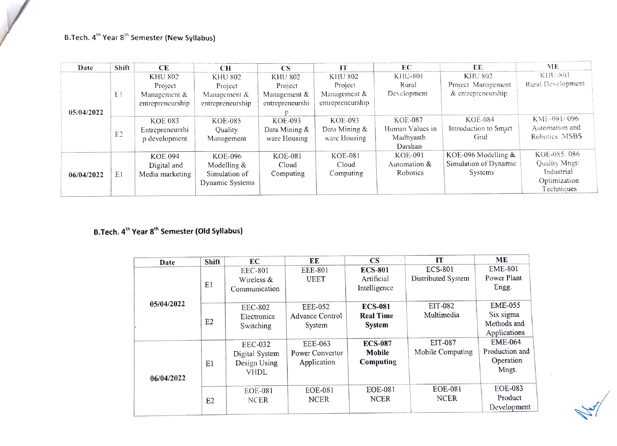# B.Tech. 4<sup>th</sup> Year 8<sup>th</sup> Semester (New Syllabus)

| Date       | Shift          | CЕ               | CН               | <b>CS</b>       | ТT               | EС              | EE                    | ME                |
|------------|----------------|------------------|------------------|-----------------|------------------|-----------------|-----------------------|-------------------|
| 05/04/2022 |                | <b>KHU 802</b>   | <b>KHU 802</b>   | <b>KHU 802</b>  | <b>KHU 802</b>   | <b>KHU-801</b>  | <b>KHU 802</b>        | KHU-801           |
|            |                | Project          | Project          | Project         | Project          | Rural           | Project Management    | Rural Development |
|            | ΕI             | Management &     | Management &     | Management &    | Management &     | Development     | & entrepreneurship    |                   |
|            |                | entrepreneurship | entrepreneurship | entrepreneurshi | entrepreneurship |                 |                       |                   |
|            |                |                  |                  |                 |                  |                 |                       |                   |
|            | E <sub>2</sub> | <b>KOE 083</b>   | <b>KOE-085</b>   | KOE-093         | KOE-093          | KOE-087         | <b>KOE-084</b>        | KME-091/096       |
|            |                | Entrepreneurshi  | Quality          | Data Mining &   | Data Mining &    | Human Values in | Introduction to Smart | Automation and    |
|            |                | p development    | Management       | ware Housing    | ware Housing     | Madhyasth       | Grid                  | Robotics MSBS     |
|            |                |                  |                  |                 |                  | Darshan         |                       |                   |
| 06/04/2022 |                | <b>KOE 094</b>   | KOE-096          | <b>KOE-081</b>  | KOE-081          | KOE-091         | KOE-096 Modelling &   | KOE-085/086       |
|            |                | Digital and      | Modelling &      | Cloud           | Cloud            | Automation &    | Simulation of Dynamic | Quality Mngt/     |
|            | E1             | Media marketing  | Simulation of    | Computing       | Computing        | Robotics        | Systems               | Industrial        |
|            |                |                  | Dynamic Systems  |                 |                  |                 |                       | Optimization      |
|            |                |                  |                  |                 |                  |                 |                       | Techniques        |

# B.Tech. 4<sup>th</sup> Year 8<sup>th</sup> Semester (Old Syllabus)

| Date       | Shift          | EC             | EE              | $\overline{\text{CS}}$ | <b>IT</b>          | ME             |
|------------|----------------|----------------|-----------------|------------------------|--------------------|----------------|
|            |                | <b>EEC-801</b> | EEE-801         | <b>ECS-801</b>         | <b>ECS-801</b>     | <b>EME-801</b> |
|            |                | Wireless &     | <b>UEET</b>     | Artificial             | Distributed System | Power Plant    |
|            | E1             | Communication  |                 | Intelligence           |                    | Engg.          |
|            |                |                |                 |                        |                    |                |
| 05/04/2022 |                | <b>EEC-802</b> | EEE-052         | <b>ECS-081</b>         | EIT-082            | <b>EME-055</b> |
|            |                | Electronics    | Advance Control | <b>Real Time</b>       | Multimedia         | Six sigma      |
|            | E2             | Switching      | System          | System                 |                    | Methods and    |
|            |                |                |                 |                        |                    | Applications   |
|            |                | <b>EEC-032</b> | EEE-063         | <b>ECS-087</b>         | EIT-087            | <b>EME-064</b> |
|            |                | Digital System | Power Convertor | Mobile                 | Mobile Computing   | Production and |
|            | E1             | Design Using   | Application     | Computing              |                    | Operation      |
|            |                | <b>VHDL</b>    |                 |                        |                    | Mngt.          |
| 06/04/2022 |                |                |                 |                        |                    |                |
|            |                | <b>EOE-081</b> | <b>EOE-081</b>  | <b>EOE-081</b>         | EOE-081            | <b>EOE-083</b> |
|            | E <sub>2</sub> | <b>NCER</b>    | <b>NCER</b>     | <b>NCER</b>            | <b>NCER</b>        | Product        |
|            |                |                |                 |                        |                    | Development    |